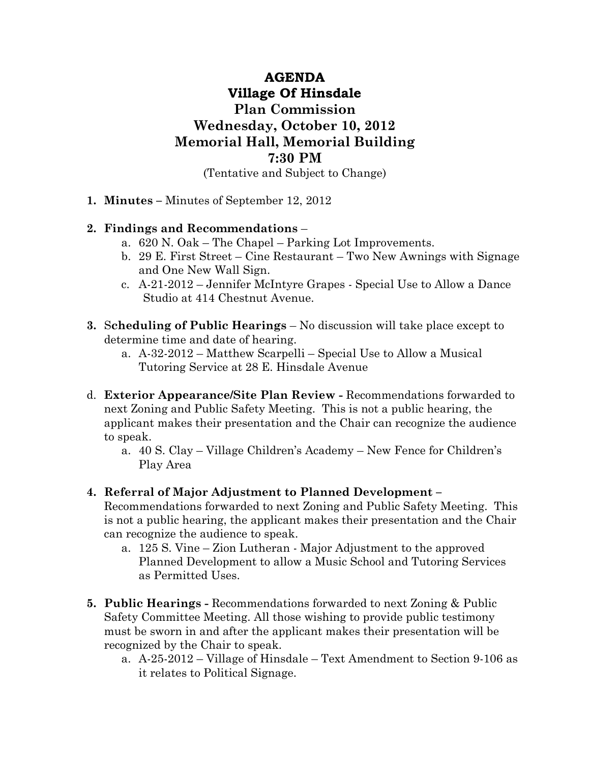## AGENDA Village Of Hinsdale Plan Commission Wednesday, October 10, 2012 Memorial Hall, Memorial Building 7:30 PM (Tentative and Subject to Change)

1. Minutes – Minutes of September 12, 2012

## 2. Findings and Recommendations –

- a. 620 N. Oak The Chapel Parking Lot Improvements.
- b. 29 E. First Street Cine Restaurant Two New Awnings with Signage and One New Wall Sign.
- c. A-21-2012 Jennifer McIntyre Grapes Special Use to Allow a Dance Studio at 414 Chestnut Avenue.
- 3. Scheduling of Public Hearings No discussion will take place except to determine time and date of hearing.
	- a. A-32-2012 Matthew Scarpelli Special Use to Allow a Musical Tutoring Service at 28 E. Hinsdale Avenue
- d. Exterior Appearance/Site Plan Review Recommendations forwarded to next Zoning and Public Safety Meeting. This is not a public hearing, the applicant makes their presentation and the Chair can recognize the audience to speak.
	- a. 40 S. Clay Village Children's Academy New Fence for Children's Play Area
- 4. Referral of Major Adjustment to Planned Development –

Recommendations forwarded to next Zoning and Public Safety Meeting. This is not a public hearing, the applicant makes their presentation and the Chair can recognize the audience to speak.

- a. 125 S. Vine Zion Lutheran Major Adjustment to the approved Planned Development to allow a Music School and Tutoring Services as Permitted Uses.
- 5. Public Hearings Recommendations forwarded to next Zoning & Public Safety Committee Meeting. All those wishing to provide public testimony must be sworn in and after the applicant makes their presentation will be recognized by the Chair to speak.
	- a. A-25-2012 Village of Hinsdale Text Amendment to Section 9-106 as it relates to Political Signage.